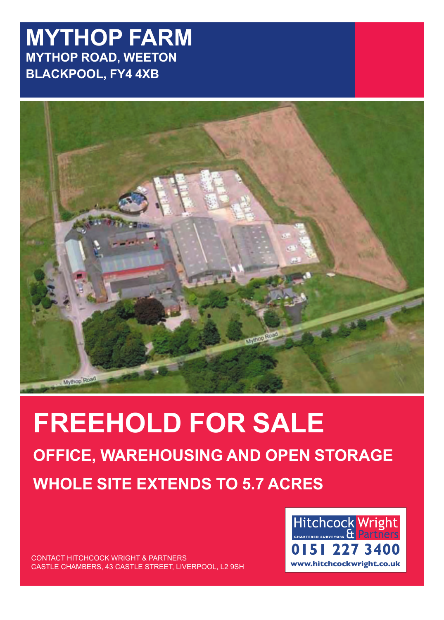## **MYTHOP FARM MYTHOP ROAD, WEETON BLACKPOOL, FY4 4XB**



# **FREEHOLD FOR SALE OFFICE, WAREHOUSING AND OPEN STORAGE WHOLE SITE EXTENDS TO 5.7 ACRES**

CONTACT HITCHCOCK WRIGHT & PARTNERS CASTLE CHAMBERS, 43 CASTLE STREET, LIVERPOOL, L2 9SH **www.hitchcockwright.co.uk**